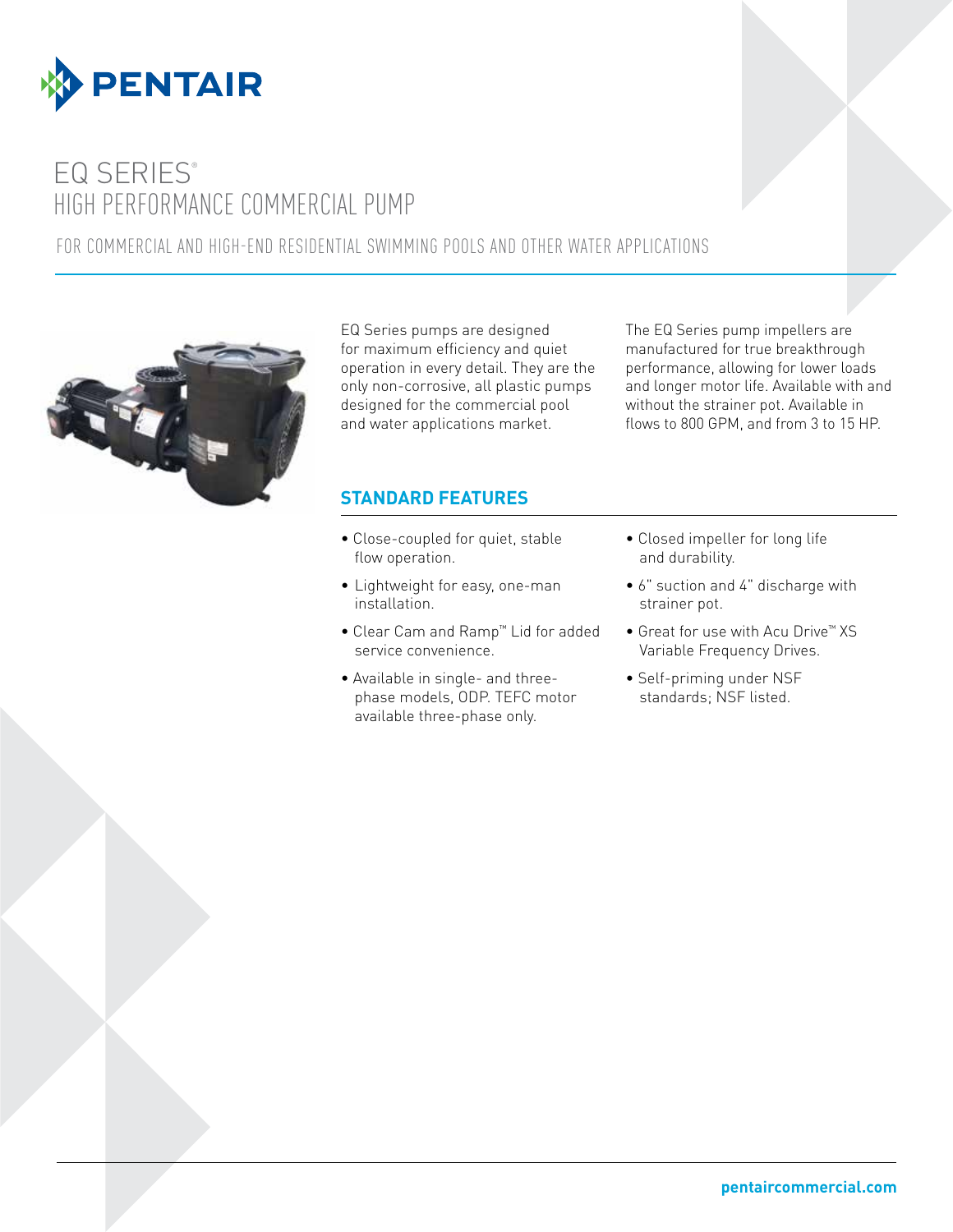

# EQ SERIES® HIGH PERFORMANCE COMMERCIAL PUMP

FOR COMMERCIAL AND HIGH-END RESIDENTIAL SWIMMING POOLS AND OTHER WATER APPLICATIONS



EQ Series pumps are designed for maximum efficiency and quiet operation in every detail. They are the only non-corrosive, all plastic pumps designed for the commercial pool and water applications market.

The EQ Series pump impellers are manufactured for true breakthrough performance, allowing for lower loads and longer motor life. Available with and without the strainer pot. Available in flows to 800 GPM, and from 3 to 15 HP.

# **STANDARD FEATURES**

- Close-coupled for quiet, stable flow operation.
- Lightweight for easy, one-man installation.
- Clear Cam and Ramp™ Lid for added service convenience.
- Available in single- and threephase models, ODP. TEFC motor available three-phase only.
- Closed impeller for long life and durability.
- 6" suction and 4" discharge with strainer pot.
- Great for use with Acu Drive™ XS Variable Frequency Drives.
- Self-priming under NSF standards; NSF listed.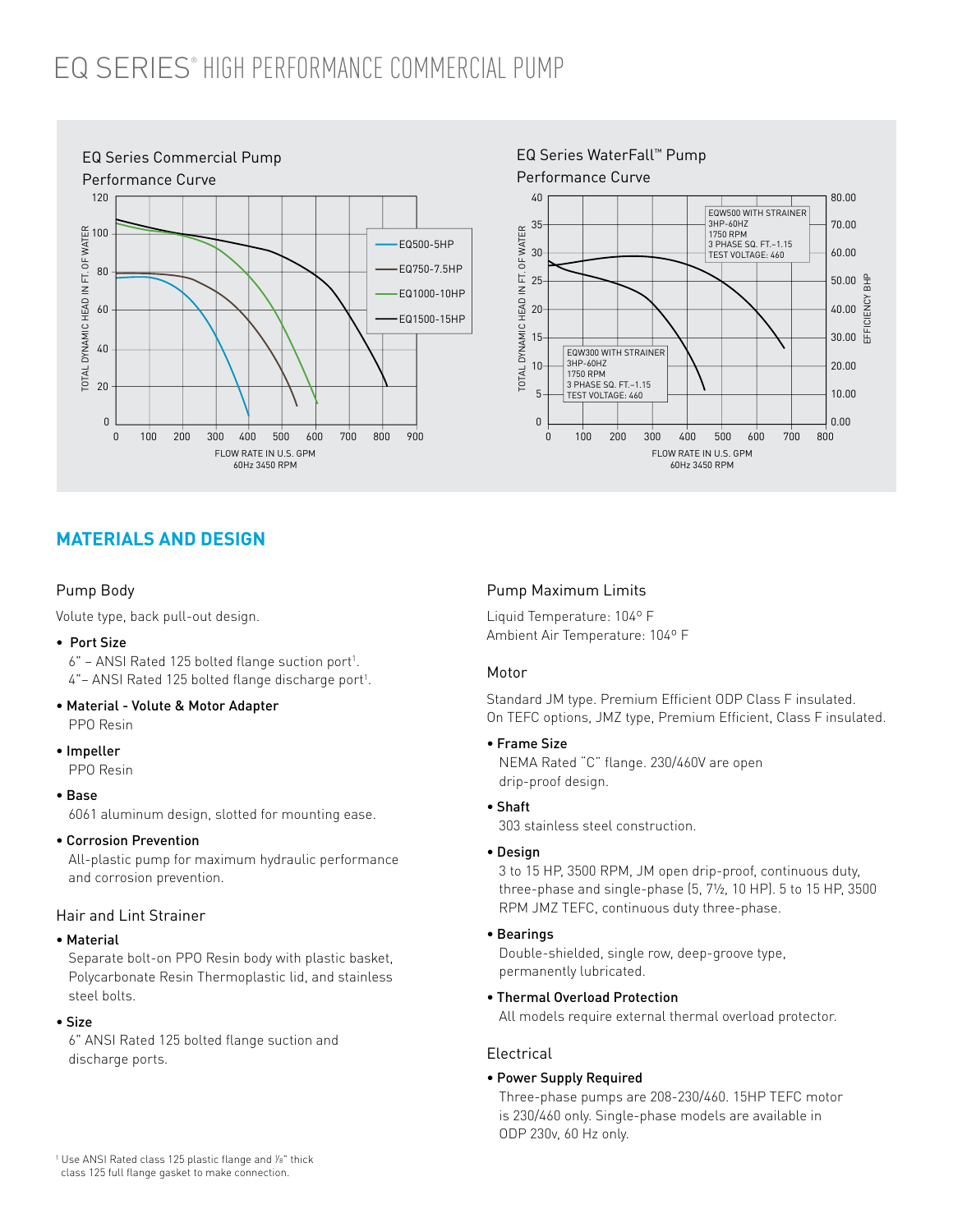# EQ SERIES® HIGH PERFORMANCE COMMERCIAL PUMP



# **MATERIALS AND DESIGN**

## Pump Body

Volute type, back pull-out design.

• Port Size

 $6"$  – ANSI Rated 125 bolted flange suction port<sup>1</sup>.  $4$ " – ANSI Rated 125 bolted flange discharge port<sup>1</sup>.

- Material Volute & Motor Adapter PPO Resin
- Impeller

PPO Resin

• Base

6061 aluminum design, slotted for mounting ease.

• Corrosion Prevention

All-plastic pump for maximum hydraulic performance and corrosion prevention.

#### Hair and Lint Strainer

#### • Material

Separate bolt-on PPO Resin body with plastic basket, Polycarbonate Resin Thermoplastic lid, and stainless steel bolts.

• Size

6" ANSI Rated 125 bolted flange suction and discharge ports.

## Pump Maximum Limits

Liquid Temperature: 104º F Ambient Air Temperature: 104º F

EQW300 WITH STRAINER 3HP-60HZ 1750 RPM 3 PHASE SQ. FT.–1.15 TEST VOLTAGE: 460

EQ Series WaterFall™ Pump

Performance Curve

#### Motor

TOTAL DYNAMIC HEAD IN FT. OF WATER

HEAD

TOTAL DYNAMIC

툐

 $\leq$ 

WATER  $\overline{a}$ 

35 40

Standard JM type. Premium Efficient ODP Class F insulated. On TEFC options, JMZ type, Premium Efficient, Class F insulated.

FLOW RATE IN U.S. GPM 60Hz 3450 RPM

0 100 200 300 400 500 600 700 800

EQW500 WITH STRAINER 3HP-60HZ 1750 RPM 3 PHASE SQ. FT.–1.15 TEST VOLTAGE: 460

EFFICIENCY BHP

EFFICIENCY

 $rac{4}{5}$ 

70.00 80.00

60.00 50.00 40.00 30.00 20.00 10.00  $0.00$ 

• Frame Size

NEMA Rated "C" flange. 230/460V are open drip-proof design.

• Shaft

303 stainless steel construction.

• Design

3 to 15 HP, 3500 RPM, JM open drip-proof, continuous duty, three-phase and single-phase (5, 71/2, 10 HP). 5 to 15 HP, 3500 RPM JMZ TEFC, continuous duty three-phase.

• Bearings

Double-shielded, single row, deep-groove type, permanently lubricated.

#### • Thermal Overload Protection

All models require external thermal overload protector.

#### Electrical

#### • Power Supply Required

Three-phase pumps are 208-230/460. 15HP TEFC motor is 230/460 only. Single-phase models are available in ODP 230v, 60 Hz only.

<sup>1</sup> Use ANSI Rated class 125 plastic flange and <sup>1/8"</sup> thick class 125 full flange gasket to make connection.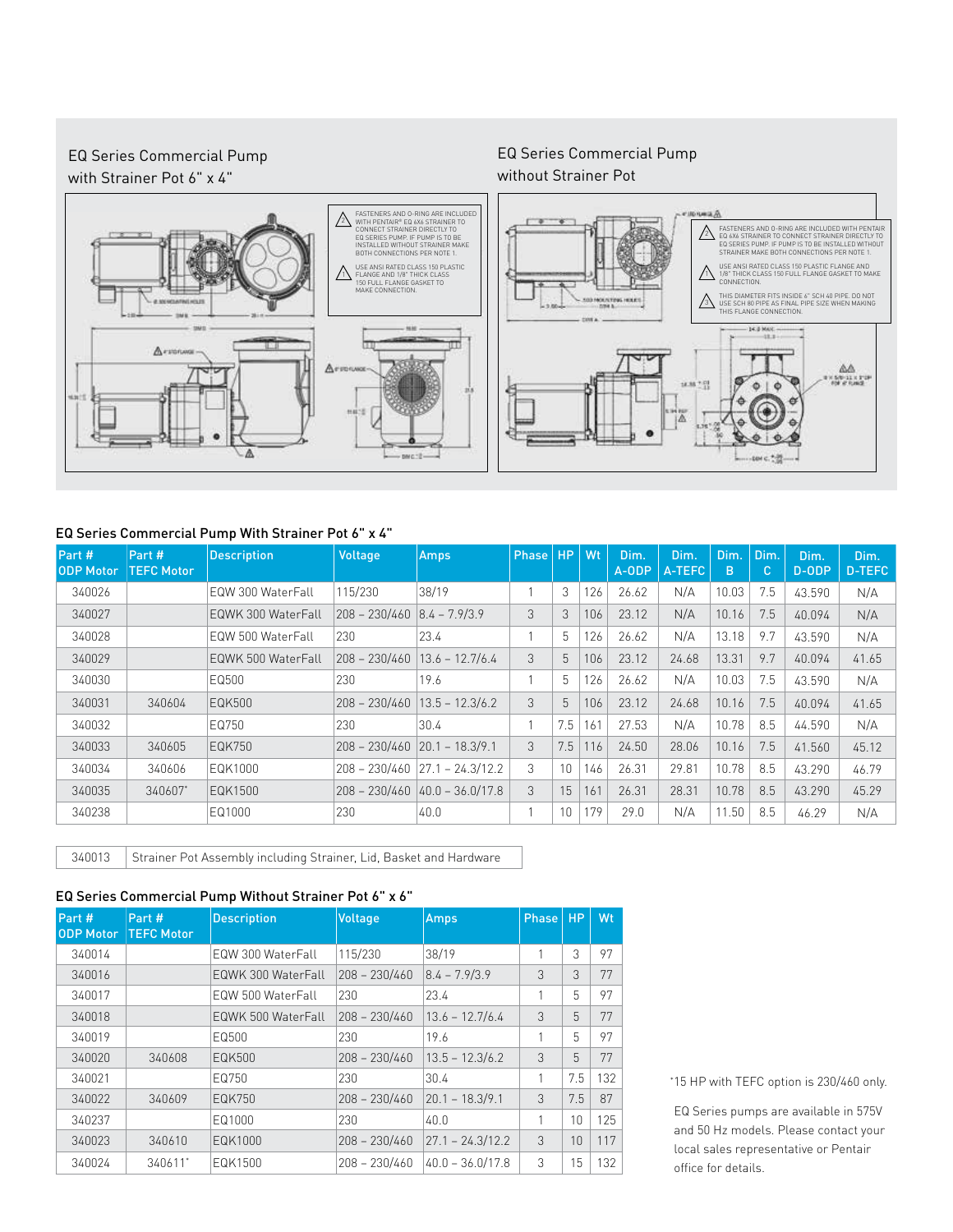# EQ Series Commercial Pump with Strainer Pot 6" x 4"





#### EQ Series Commercial Pump With Strainer Pot 6" x 4"

| Part #<br><b>ODP Motor</b> | Part #<br><b>TEFC Motor</b> | <b>Description</b> | Voltage         | Amps                             | Phase HP |     | Wt  | Dim.<br>A-ODP | Dim.<br>A-TEFC | Dim.<br>B. | Dim.<br>C. | Dim.<br>D-ODP | Dim.<br>D-TEFC |
|----------------------------|-----------------------------|--------------------|-----------------|----------------------------------|----------|-----|-----|---------------|----------------|------------|------------|---------------|----------------|
| 340026                     |                             | FQW 300 WaterFall  | 115/230         | 38/19                            |          | 3   | 126 | 26.62         | N/A            | 10.03      | 7.5        | 43.590        | N/A            |
| 340027                     |                             | EQWK 300 WaterFall | $208 - 230/460$ | $ 8.4 - 7.9/3.9$                 | 3        | 3   | 106 | 23.12         | N/A            | 10.16      | 7.5        | 40.094        | N/A            |
| 340028                     |                             | FQW 500 WaterFall  | 230             | 23.4                             |          | 5   | 126 | 26.62         | N/A            | 13.18      | 9.7        | 43.590        | N/A            |
| 340029                     |                             | FQWK 500 WaterFall | $208 - 230/460$ | $13.6 - 12.7/6.4$                | 3        | 5   | 106 | 23.12         | 24.68          | 13.31      | 9.7        | 40.094        | 41.65          |
| 340030                     |                             | EQ500              | 230             | 19.6                             |          | 5   | 126 | 26.62         | N/A            | 10.03      | 7.5        | 43.590        | N/A            |
| 340031                     | 340604                      | <b>EQK500</b>      | $208 - 230/460$ | $13.5 - 12.3/6.2$                | 3        | 5   | 106 | 23.12         | 24.68          | 10.16      | 7.5        | 40.094        | 41.65          |
| 340032                     |                             | EQ750              | 230             | 30.4                             |          | 7.5 | 161 | 27.53         | N/A            | 10.78      | 8.5        | 44.590        | N/A            |
| 340033                     | 340605                      | <b>EQK750</b>      | $208 - 230/460$ | $ 20.1 - 18.3/9.1$               | 3        | 7.5 | 116 | 24.50         | 28.06          | 10.16      | 7.5        | 41.560        | 45.12          |
| 340034                     | 340606                      | EQK1000            | $208 - 230/460$ | $ 27.1 - 24.3/12.2 $             | 3        | 10  | 146 | 26.31         | 29.81          | 10.78      | 8.5        | 43.290        | 46.79          |
| 340035                     | 340607*                     | EQK1500            |                 | $208 - 230/460$ 40.0 - 36.0/17.8 | 3        | 15  | 161 | 26.31         | 28.31          | 10.78      | 8.5        | 43.290        | 45.29          |
| 340238                     |                             | EQ1000             | 230             | 40.0                             | 1        | 10  | 179 | 29.0          | N/A            | 11.50      | 8.5        | 46.29         | N/A            |

340013 Strainer Pot Assembly including Strainer, Lid, Basket and Hardware

#### EQ Series Commercial Pump Without Strainer Pot 6" x 6"

| Part #<br><b>ODP Motor</b> | Part #<br><b>TEFC Motor</b> | <b>Description</b> | Voltage         | Amps               | <b>Phase</b> | <b>HP</b> | Wt  |
|----------------------------|-----------------------------|--------------------|-----------------|--------------------|--------------|-----------|-----|
| 340014                     |                             | FQW 300 WaterFall  | 115/230         | 38/19              |              | 3         | 97  |
| 340016                     |                             | EQWK 300 WaterFall | $208 - 230/460$ | $8.4 - 7.9/3.9$    | 3            | 3         | 77  |
| 340017                     |                             | FQW 500 WaterFall  | 230             | 23.4               | 1            | 5         | 97  |
| 340018                     |                             | FQWK 500 WaterFall | $208 - 230/460$ | $13.6 - 12.7/6.4$  | 3            | 5         | 77  |
| 340019                     |                             | EQ500              | 230             | 19.6               | 1            | 5         | 97  |
| 340020                     | 340608                      | <b>EQK500</b>      | $208 - 230/460$ | $13.5 - 12.3/6.2$  | 3            | 5         | 77  |
| 340021                     |                             | FQ750              | 230             | 30.4               | 1            | 7.5       | 132 |
| 340022                     | 340609                      | <b>EQK750</b>      | $208 - 230/460$ | $ 20.1 - 18.3/9.1$ | 3            | 7.5       | 87  |
| 340237                     |                             | EQ1000             | 230             | 40.0               | 1            | 10        | 125 |
| 340023                     | 340610                      | EQK1000            | $208 - 230/460$ | $27.1 - 24.3/12.2$ | 3            | 10        | 117 |
| 340024                     | 340611*                     | EQK1500            | $208 - 230/460$ | $40.0 - 36.0/17.8$ | 3            | 15        | 132 |

\*15 HP with TEFC option is 230/460 only.

EQ Series pumps are available in 575V and 50 Hz models. Please contact your local sales representative or Pentair office for details.